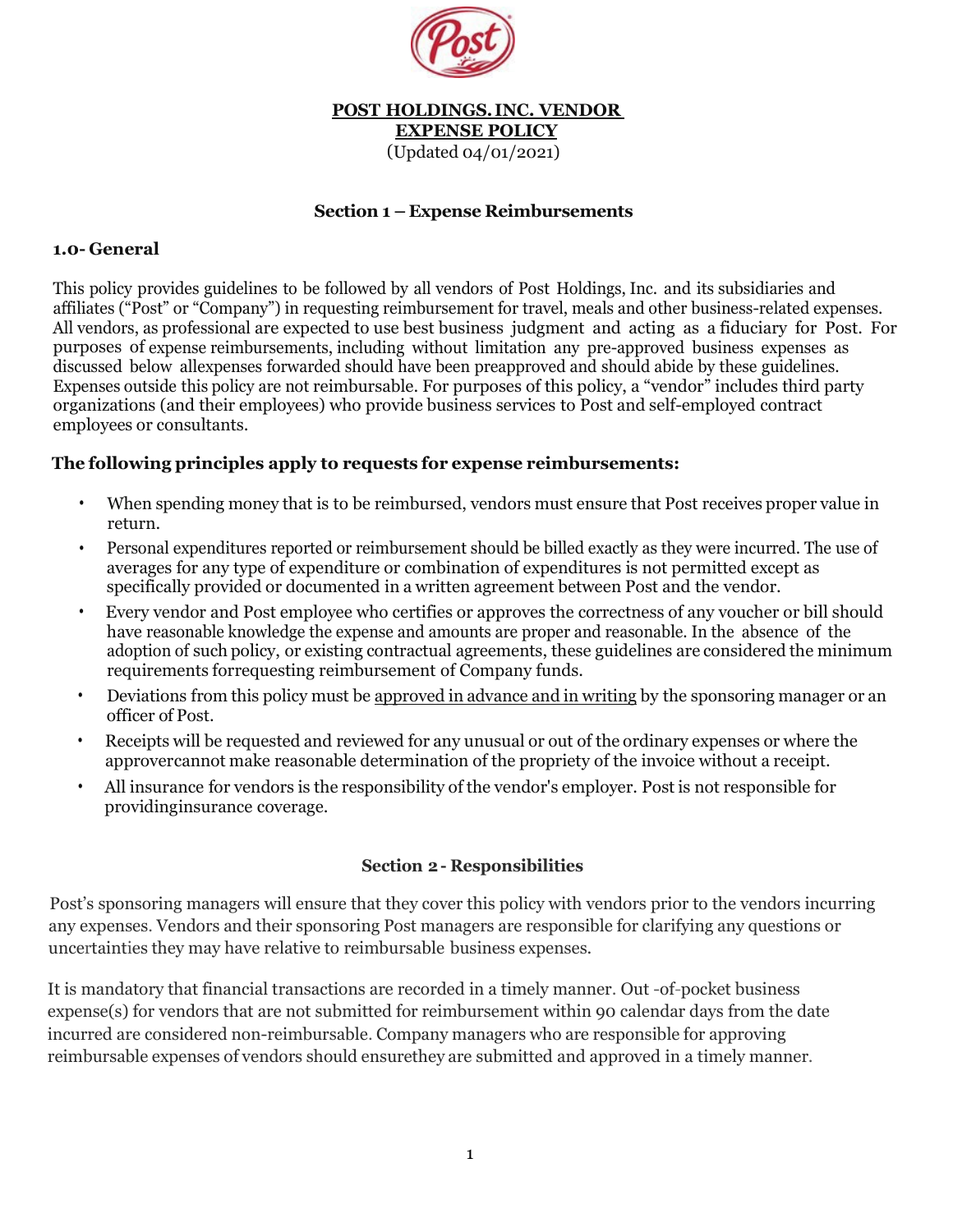

# **POST HOLDINGS. INC. VENDOR EXPENSE POLICY**

(Updated 04/01/2021)

### **Section 1 – Expense Reimbursements**

#### **1.0- General**

) This policy provides guidelines to be followed by all vendors of Post Holdings, Inc. and its subsidiaries and affiliates ("Post" or "Company") in requesting reimbursement for travel, meals and other business-related expenses. All vendors, as professional are expected to use best business judgment and acting as a fiduciary for Post. For purposes of expense reimbursements, including without limitation any pre-approved business expenses as discussed below all expenses forwarded should have been preapproved and should abide by these guidelines. Expenses outside this policy are not reimbursable. For purposes of this policy, a "vendor" includes third party organizations (and their employees) who provide business services to Post and self-employed contract employees or consultants.

### **The following principles apply to requests for expense reimbursements:**

- When spending money that is to be reimbursed, vendors must ensure that Post receives proper value in return.
- Personal expenditures reported or reimbursement should be billed exactly as they were incurred. The use of averages for any type of expenditure or combination of expenditures is not permitted except as specifically provided or documented in a written agreement between Post and the vendor.
- Every vendor and Post employee who certifies or approves the correctness of any voucher or bill should have reasonable knowledge the expense and amounts are proper and reasonable. In the absence of the adoption of such policy, or existing contractual agreements, these guidelines are considered the minimum requirements forrequesting reimbursement of Company funds.
- Deviations from this policy must be approved in advance and in writing by the sponsoring manager or an officer of Post.
- Receipts will be requested and reviewed for any unusual or out of the ordinary expenses or where the approvercannot make reasonable determination of the propriety of the invoice without a receipt.
- All insurance for vendors is the responsibility of the vendor's employer. Post is not responsible for providinginsurance coverage.

#### **Section 2 - Responsibilities**

Post's sponsoring managers will ensure that they cover this policy with vendors prior to the vendors incurring any expenses. Vendors and their sponsoring Post managers are responsible for clarifying any questions or uncertainties they may have relative to reimbursable business expenses.

It is mandatory that financial transactions are recorded in a timely manner. Out -of-pocket business expense(s) for vendors that are not submitted for reimbursement within 90 calendar days from the date incurred are considered non-reimbursable. Company managers who are responsible for approving reimbursable expenses of vendors should ensurethey are submitted and approved in a timely manner.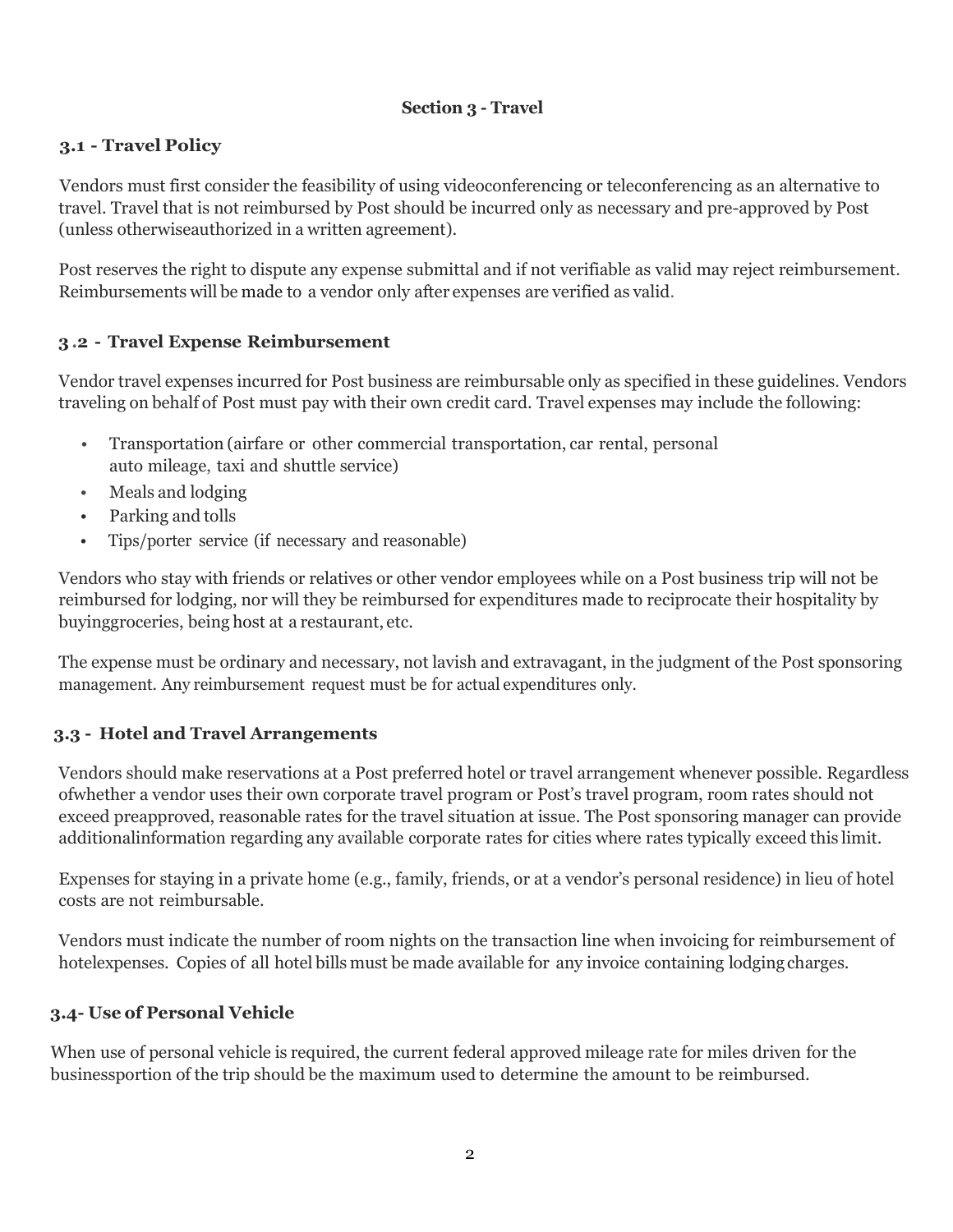## **Section 3 - Travel**

# **3.1 - Travel Policy**

Vendors must first consider the feasibility of using videoconferencing or teleconferencing as an alternative to travel. Travel that is not reimbursed by Post should be incurred only as necessary and pre-approved by Post (unless otherwiseauthorized in a written agreement).

Post reserves the right to dispute any expense submittal and if not verifiable as valid may reject reimbursement. Reimbursements will be made to a vendor only after expenses are verified as valid.

## **3.2 - Travel Expense Reimbursement**

Vendor travel expenses incurred for Post business are reimbursable only as specified in these guidelines. Vendors traveling on behalf of Post must pay with their own credit card. Travel expenses may include the following:

- Transportation (airfare or other commercial transportation, car rental, personal auto mileage, taxi and shuttle service)
- Meals and lodging
- Parking and tolls
- Tips/porter service (if necessary and reasonable)

Vendors who stay with friends or relatives or other vendor employees while on a Post business trip will not be reimbursed for lodging, nor will they be reimbursed for expenditures made to reciprocate their hospitality by buyinggroceries, being host at a restaurant, etc.

The expense must be ordinary and necessary, not lavish and extravagant, in the judgment of the Post sponsoring management. Any reimbursement request must be for actual expenditures only.

## **3.3 - Hotel and Travel Arrangements**

Vendors should make reservations at a Post preferred hotel or travel arrangement whenever possible. Regardless ofwhether a vendor uses their own corporate travel program or Post's travel program, room rates should not exceed preapproved, reasonable rates for the travel situation at issue. The Post sponsoring manager can provide additionalinformation regarding any available corporate rates for cities where rates typically exceed this limit.

Expenses for staying in a private home (e.g., family, friends, or at a vendor's personal residence) in lieu of hotel costs are not reimbursable.

Vendors must indicate the number of room nights on the transaction line when invoicing for reimbursement of hotelexpenses. Copies of all hotel bills must be made available for any invoice containing lodging charges.

## **3.4- Use of Personal Vehicle**

When use of personal vehicle is required, the current federal approved mileage rate for miles driven for the businessportion of the trip should be the maximum used to determine the amount to be reimbursed.